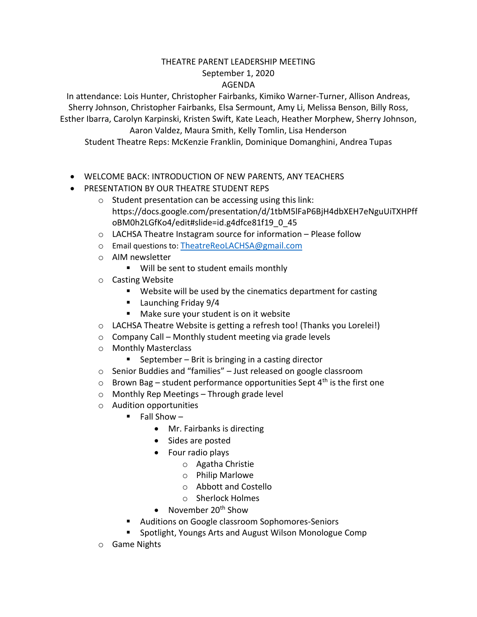## THEATRE PARENT LEADERSHIP MEETING September 1, 2020 AGENDA

In attendance: Lois Hunter, Christopher Fairbanks, Kimiko Warner-Turner, Allison Andreas, Sherry Johnson, Christopher Fairbanks, Elsa Sermount, Amy Li, Melissa Benson, Billy Ross, Esther Ibarra, Carolyn Karpinski, Kristen Swift, Kate Leach, Heather Morphew, Sherry Johnson, Aaron Valdez, Maura Smith, Kelly Tomlin, Lisa Henderson Student Theatre Reps: McKenzie Franklin, Dominique Domanghini, Andrea Tupas

- WELCOME BACK: INTRODUCTION OF NEW PARENTS, ANY TEACHERS
- PRESENTATION BY OUR THEATRE STUDENT REPS
	- o Student presentation can be accessing using this link: https://docs.google.com/presentation/d/1tbM5lFaP6BjH4dbXEH7eNguUiTXHPff oBM0h2LGfKo4/edit#slide=id.g4dfce81f19\_0\_45
	- o LACHSA Theatre Instagram source for information Please follow
	- o Email questions to: [TheatreReoLACHSA@gmail.com](mailto:TheatreReoLACHSA@gmail.com)
	- o AIM newsletter
		- Will be sent to student emails monthly
	- o Casting Website
		- Website will be used by the cinematics department for casting
		- **Launching Friday 9/4**
		- Make sure your student is on it website
	- o LACHSA Theatre Website is getting a refresh too! (Thanks you Lorelei!)
	- o Company Call Monthly student meeting via grade levels
	- o Monthly Masterclass
		- September Brit is bringing in a casting director
	- o Senior Buddies and "families" Just released on google classroom
	- $\circ$  Brown Bag student performance opportunities Sept 4<sup>th</sup> is the first one
	- o Monthly Rep Meetings Through grade level
	- o Audition opportunities
		- $\blacksquare$  Fall Show
			- Mr. Fairbanks is directing
			- Sides are posted
			- Four radio plays
				- o Agatha Christie
				- o Philip Marlowe
				- o Abbott and Costello
				- o Sherlock Holmes
			- November  $20<sup>th</sup>$  Show
		- **Auditions on Google classroom Sophomores-Seniors**
		- **Spotlight, Youngs Arts and August Wilson Monologue Comp**
	- o Game Nights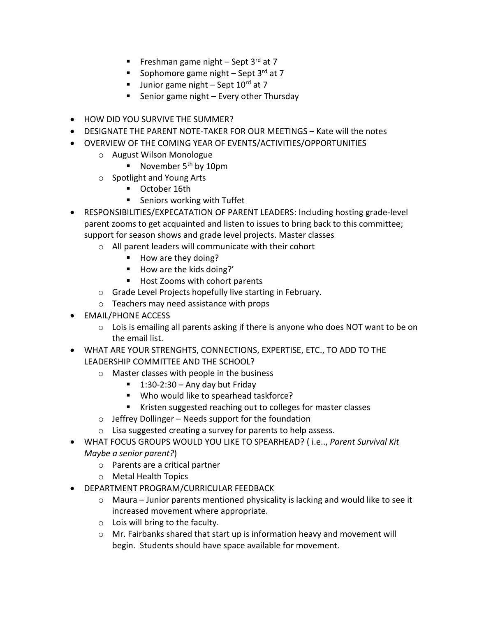- Freshman game night Sept 3rd at 7
- Sophomore game night Sept  $3<sup>rd</sup>$  at 7
- **Junior game night Sept 10<sup>rd</sup> at 7**
- Senior game night  $-$  Every other Thursday
- HOW DID YOU SURVIVE THE SUMMER?
- DESIGNATE THE PARENT NOTE-TAKER FOR OUR MEETINGS Kate will the notes
- OVERVIEW OF THE COMING YEAR OF EVENTS/ACTIVITIES/OPPORTUNITIES
	- o August Wilson Monologue
		- November  $5<sup>th</sup>$  by 10pm
	- o Spotlight and Young Arts
		- **October 16th**
		- Seniors working with Tuffet
- RESPONSIBILITIES/EXPECATATION OF PARENT LEADERS: Including hosting grade-level parent zooms to get acquainted and listen to issues to bring back to this committee; support for season shows and grade level projects. Master classes
	- o All parent leaders will communicate with their cohort
		- How are they doing?
		- How are the kids doing?'
		- Host Zooms with cohort parents
	- o Grade Level Projects hopefully live starting in February.
	- o Teachers may need assistance with props
- EMAIL/PHONE ACCESS
	- $\circ$  Lois is emailing all parents asking if there is anyone who does NOT want to be on the email list.
- WHAT ARE YOUR STRENGHTS, CONNECTIONS, EXPERTISE, ETC., TO ADD TO THE LEADERSHIP COMMITTEE AND THE SCHOOL?
	- o Master classes with people in the business
		- $\blacksquare$  1:30-2:30 Any day but Friday
		- Who would like to spearhead taskforce?
		- **Kristen suggested reaching out to colleges for master classes**
	- $\circ$  Jeffrey Dollinger Needs support for the foundation
	- o Lisa suggested creating a survey for parents to help assess.
- WHAT FOCUS GROUPS WOULD YOU LIKE TO SPEARHEAD? ( i.e.., *Parent Survival Kit Maybe a senior parent?*)
	- o Parents are a critical partner
	- o Metal Health Topics
- DEPARTMENT PROGRAM/CURRICULAR FEEDBACK
	- $\circ$  Maura Junior parents mentioned physicality is lacking and would like to see it increased movement where appropriate.
	- o Lois will bring to the faculty.
	- o Mr. Fairbanks shared that start up is information heavy and movement will begin. Students should have space available for movement.